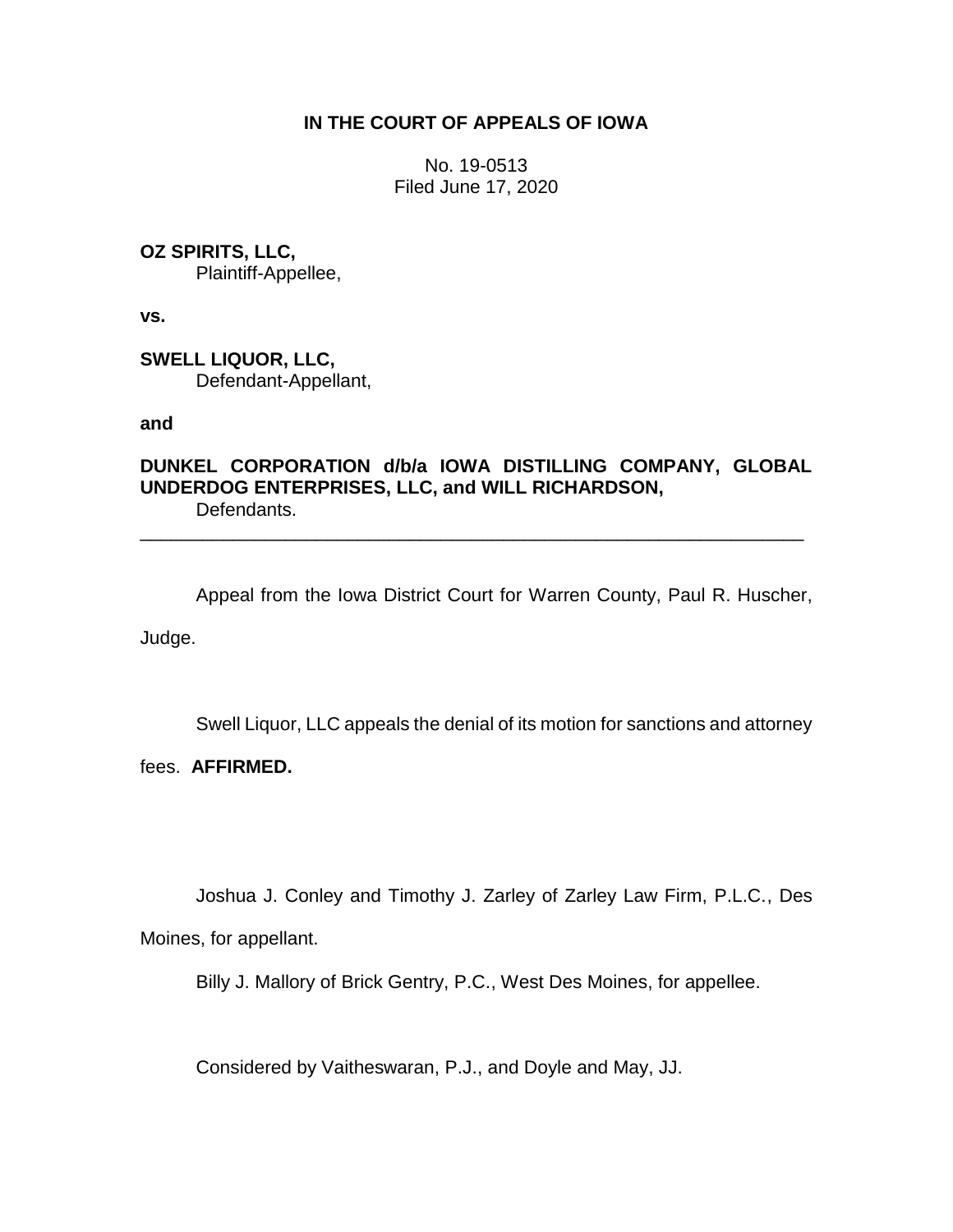## **IN THE COURT OF APPEALS OF IOWA**

No. 19-0513 Filed June 17, 2020

**OZ SPIRITS, LLC,**

Plaintiff-Appellee,

**vs.**

**SWELL LIQUOR, LLC,** Defendant-Appellant,

**and**

## **DUNKEL CORPORATION d/b/a IOWA DISTILLING COMPANY, GLOBAL UNDERDOG ENTERPRISES, LLC, and WILL RICHARDSON,**

\_\_\_\_\_\_\_\_\_\_\_\_\_\_\_\_\_\_\_\_\_\_\_\_\_\_\_\_\_\_\_\_\_\_\_\_\_\_\_\_\_\_\_\_\_\_\_\_\_\_\_\_\_\_\_\_\_\_\_\_\_\_\_\_

Defendants.

Appeal from the Iowa District Court for Warren County, Paul R. Huscher, Judge.

Swell Liquor, LLC appeals the denial of its motion for sanctions and attorney

fees. **AFFIRMED.**

Joshua J. Conley and Timothy J. Zarley of Zarley Law Firm, P.L.C., Des

Moines, for appellant.

Billy J. Mallory of Brick Gentry, P.C., West Des Moines, for appellee.

Considered by Vaitheswaran, P.J., and Doyle and May, JJ.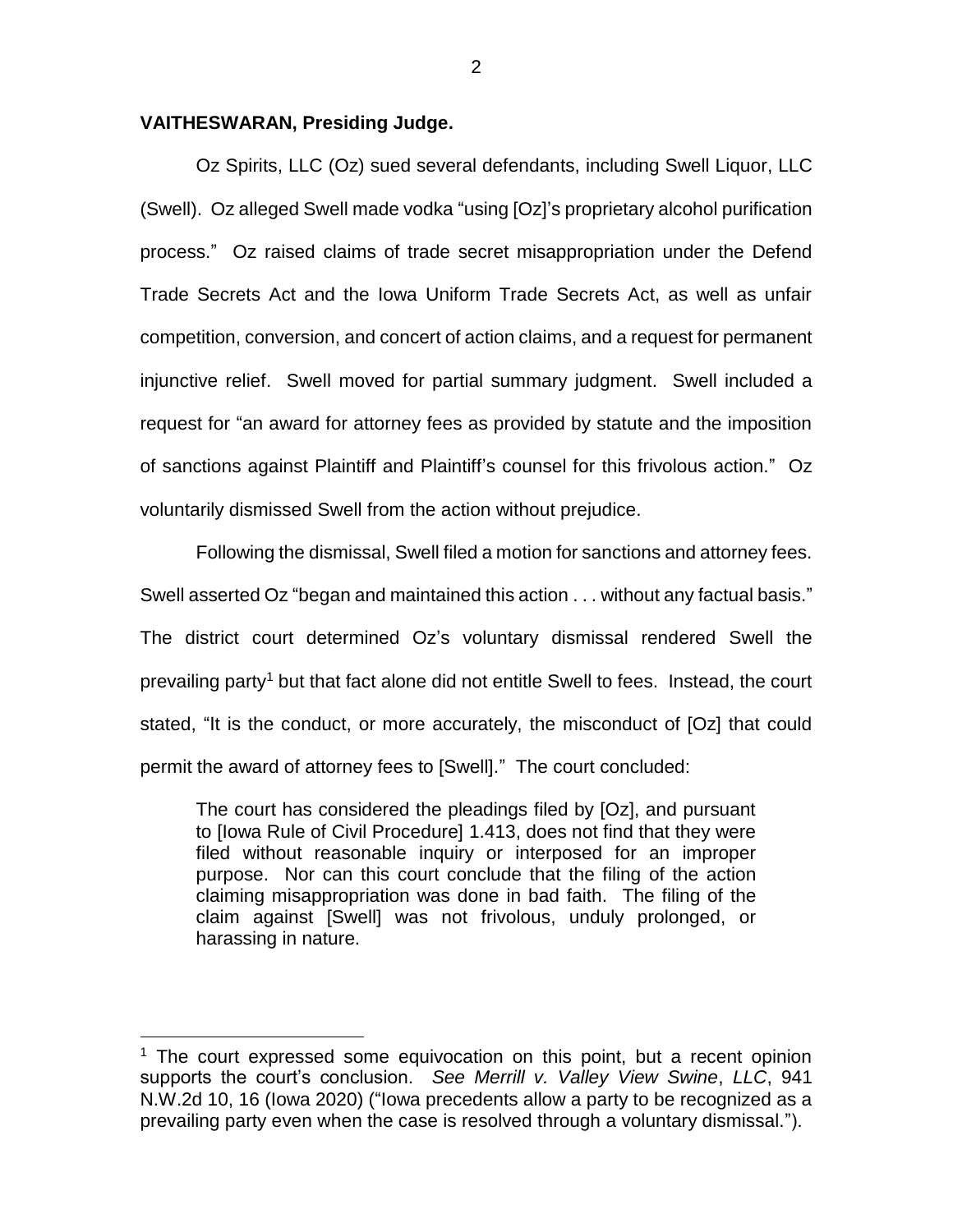## **VAITHESWARAN, Presiding Judge.**

 $\overline{a}$ 

Oz Spirits, LLC (Oz) sued several defendants, including Swell Liquor, LLC (Swell). Oz alleged Swell made vodka "using [Oz]'s proprietary alcohol purification process." Oz raised claims of trade secret misappropriation under the Defend Trade Secrets Act and the Iowa Uniform Trade Secrets Act, as well as unfair competition, conversion, and concert of action claims, and a request for permanent injunctive relief. Swell moved for partial summary judgment. Swell included a request for "an award for attorney fees as provided by statute and the imposition of sanctions against Plaintiff and Plaintiff's counsel for this frivolous action." Oz voluntarily dismissed Swell from the action without prejudice.

Following the dismissal, Swell filed a motion for sanctions and attorney fees. Swell asserted Oz "began and maintained this action . . . without any factual basis." The district court determined Oz's voluntary dismissal rendered Swell the prevailing party<sup>1</sup> but that fact alone did not entitle Swell to fees. Instead, the court stated, "It is the conduct, or more accurately, the misconduct of [Oz] that could permit the award of attorney fees to [Swell]." The court concluded:

The court has considered the pleadings filed by [Oz], and pursuant to [Iowa Rule of Civil Procedure] 1.413, does not find that they were filed without reasonable inquiry or interposed for an improper purpose. Nor can this court conclude that the filing of the action claiming misappropriation was done in bad faith. The filing of the claim against [Swell] was not frivolous, unduly prolonged, or harassing in nature.

 $1$  The court expressed some equivocation on this point, but a recent opinion supports the court's conclusion. *See Merrill v. Valley View Swine*, *LLC*, 941 N.W.2d 10, 16 (Iowa 2020) ("Iowa precedents allow a party to be recognized as a prevailing party even when the case is resolved through a voluntary dismissal.").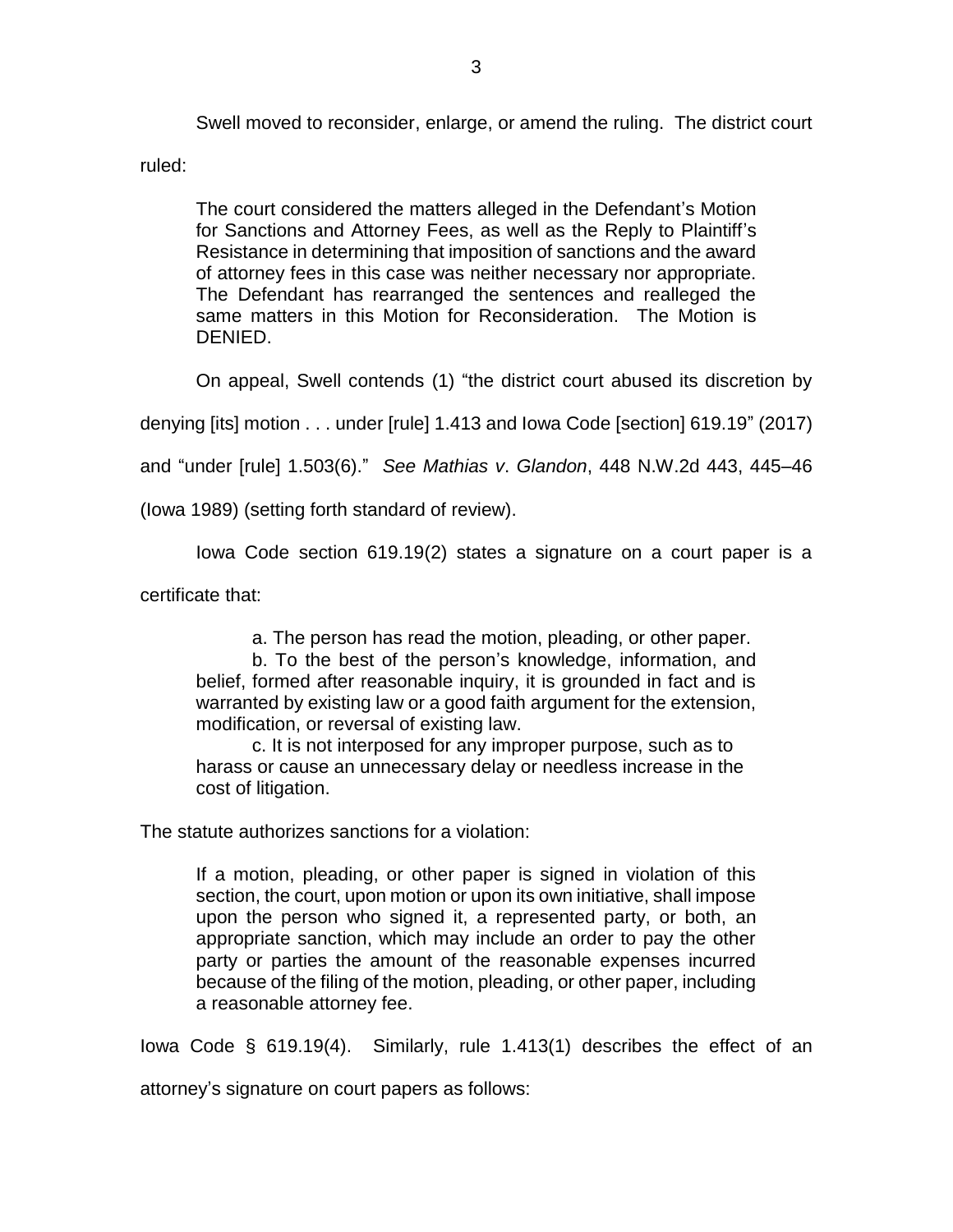Swell moved to reconsider, enlarge, or amend the ruling. The district court

ruled:

The court considered the matters alleged in the Defendant's Motion for Sanctions and Attorney Fees, as well as the Reply to Plaintiff's Resistance in determining that imposition of sanctions and the award of attorney fees in this case was neither necessary nor appropriate. The Defendant has rearranged the sentences and realleged the same matters in this Motion for Reconsideration. The Motion is DENIED.

On appeal, Swell contends (1) "the district court abused its discretion by

denying [its] motion . . . under [rule] 1.413 and Iowa Code [section] 619.19" (2017)

and "under [rule] 1.503(6)." *See Mathias v*. *Glandon*, 448 N.W.2d 443, 445–46

(Iowa 1989) (setting forth standard of review).

Iowa Code section 619.19(2) states a signature on a court paper is a

certificate that:

a. The person has read the motion, pleading, or other paper.

b. To the best of the person's knowledge, information, and belief, formed after reasonable inquiry, it is grounded in fact and is warranted by existing law or a good faith argument for the extension, modification, or reversal of existing law.

c. It is not interposed for any improper purpose, such as to harass or cause an unnecessary delay or needless increase in the cost of litigation.

The statute authorizes sanctions for a violation:

If a motion, pleading, or other paper is signed in violation of this section, the court, upon motion or upon its own initiative, shall impose upon the person who signed it, a represented party, or both, an appropriate sanction, which may include an order to pay the other party or parties the amount of the reasonable expenses incurred because of the filing of the motion, pleading, or other paper, including a reasonable attorney fee.

Iowa Code § 619.19(4). Similarly, rule 1.413(1) describes the effect of an

attorney's signature on court papers as follows: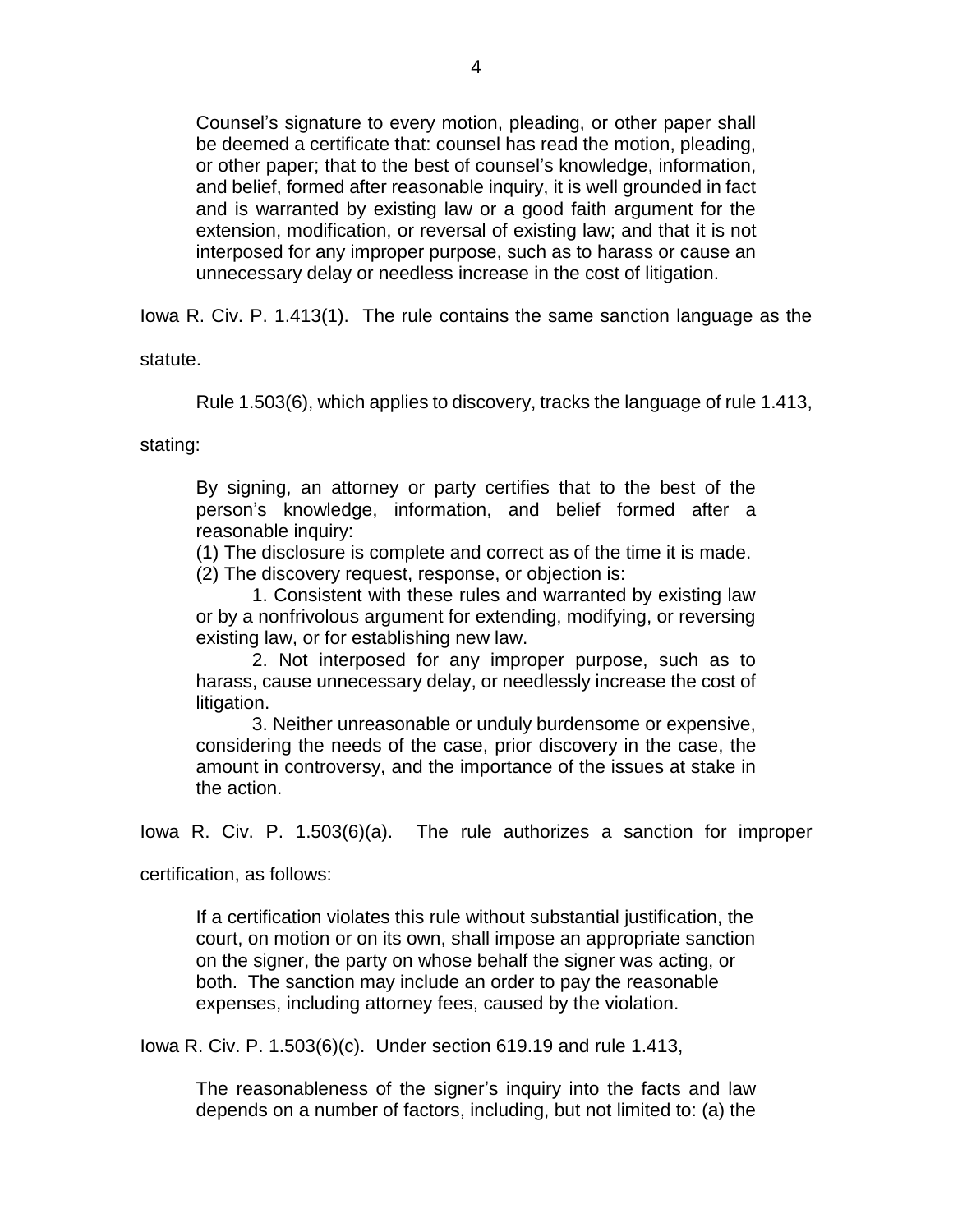Counsel's signature to every motion, pleading, or other paper shall be deemed a certificate that: counsel has read the motion, pleading, or other paper; that to the best of counsel's knowledge, information, and belief, formed after reasonable inquiry, it is well grounded in fact and is warranted by existing law or a good faith argument for the extension, modification, or reversal of existing law; and that it is not interposed for any improper purpose, such as to harass or cause an unnecessary delay or needless increase in the cost of litigation.

Iowa R. Civ. P. 1.413(1). The rule contains the same sanction language as the

statute.

Rule 1.503(6), which applies to discovery, tracks the language of rule 1.413,

stating:

By signing, an attorney or party certifies that to the best of the person's knowledge, information, and belief formed after a reasonable inquiry:

(1) The disclosure is complete and correct as of the time it is made.

(2) The discovery request, response, or objection is:

1. Consistent with these rules and warranted by existing law or by a nonfrivolous argument for extending, modifying, or reversing existing law, or for establishing new law.

2. Not interposed for any improper purpose, such as to harass, cause unnecessary delay, or needlessly increase the cost of litigation.

3. Neither unreasonable or unduly burdensome or expensive, considering the needs of the case, prior discovery in the case, the amount in controversy, and the importance of the issues at stake in the action.

Iowa R. Civ. P. 1.503(6)(a). The rule authorizes a sanction for improper

certification, as follows:

If a certification violates this rule without substantial justification, the court, on motion or on its own, shall impose an appropriate sanction on the signer, the party on whose behalf the signer was acting, or both. The sanction may include an order to pay the reasonable expenses, including attorney fees, caused by the violation.

Iowa R. Civ. P. 1.503(6)(c). Under section 619.19 and rule 1.413,

The reasonableness of the signer's inquiry into the facts and law depends on a number of factors, including, but not limited to: (a) the